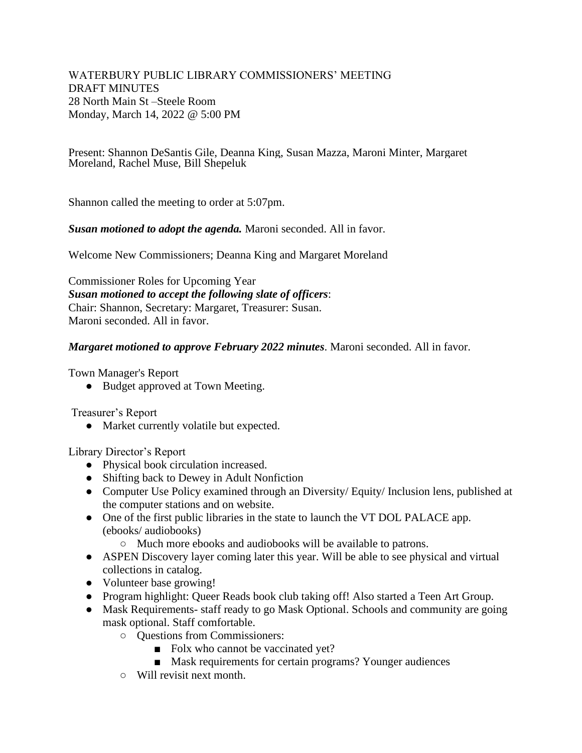WATERBURY PUBLIC LIBRARY COMMISSIONERS' MEETING DRAFT MINUTES 28 North Main St –Steele Room Monday, March 14, 2022 @ 5:00 PM

Present: Shannon DeSantis Gile, Deanna King, Susan Mazza, Maroni Minter, Margaret Moreland, Rachel Muse, Bill Shepeluk

Shannon called the meeting to order at 5:07pm.

*Susan motioned to adopt the agenda.* Maroni seconded. All in favor.

Welcome New Commissioners; Deanna King and Margaret Moreland

Commissioner Roles for Upcoming Year *Susan motioned to accept the following slate of officers*: Chair: Shannon, Secretary: Margaret, Treasurer: Susan. Maroni seconded. All in favor.

### *Margaret motioned to approve February 2022 minutes*. Maroni seconded. All in favor.

Town Manager's Report

● Budget approved at Town Meeting.

Treasurer's Report

• Market currently volatile but expected.

Library Director's Report

- Physical book circulation increased.
- Shifting back to Dewey in Adult Nonfiction
- Computer Use Policy examined through an Diversity/ Equity/ Inclusion lens, published at the computer stations and on website.
- One of the first public libraries in the state to launch the VT DOL PALACE app. (ebooks/ audiobooks)
	- Much more ebooks and audiobooks will be available to patrons.
- ASPEN Discovery layer coming later this year. Will be able to see physical and virtual collections in catalog.
- Volunteer base growing!
- Program highlight: Queer Reads book club taking off! Also started a Teen Art Group.
- Mask Requirements- staff ready to go Mask Optional. Schools and community are going mask optional. Staff comfortable.
	- Questions from Commissioners:
		- Folx who cannot be vaccinated yet?
		- Mask requirements for certain programs? Younger audiences
	- Will revisit next month.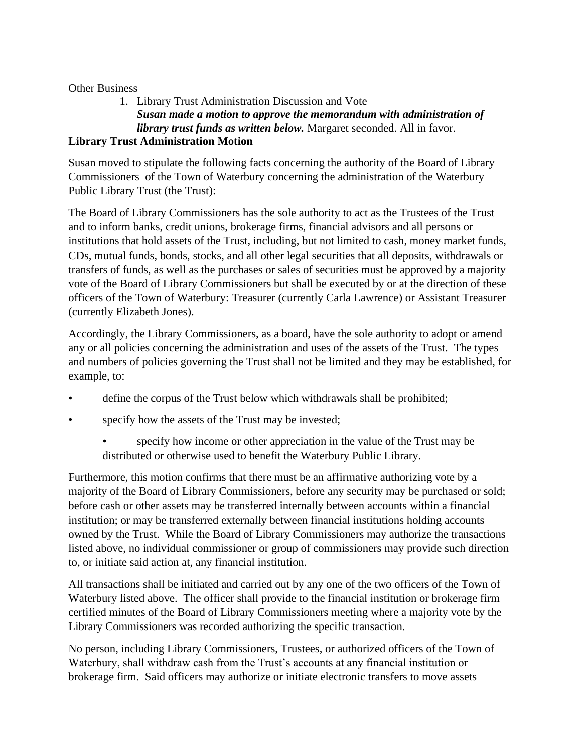## Other Business

# 1. Library Trust Administration Discussion and Vote *Susan made a motion to approve the memorandum with administration of library trust funds as written below.* Margaret seconded. All in favor.

# **Library Trust Administration Motion**

Susan moved to stipulate the following facts concerning the authority of the Board of Library Commissioners of the Town of Waterbury concerning the administration of the Waterbury Public Library Trust (the Trust):

The Board of Library Commissioners has the sole authority to act as the Trustees of the Trust and to inform banks, credit unions, brokerage firms, financial advisors and all persons or institutions that hold assets of the Trust, including, but not limited to cash, money market funds, CDs, mutual funds, bonds, stocks, and all other legal securities that all deposits, withdrawals or transfers of funds, as well as the purchases or sales of securities must be approved by a majority vote of the Board of Library Commissioners but shall be executed by or at the direction of these officers of the Town of Waterbury: Treasurer (currently Carla Lawrence) or Assistant Treasurer (currently Elizabeth Jones).

Accordingly, the Library Commissioners, as a board, have the sole authority to adopt or amend any or all policies concerning the administration and uses of the assets of the Trust. The types and numbers of policies governing the Trust shall not be limited and they may be established, for example, to:

- define the corpus of the Trust below which withdrawals shall be prohibited;
- specify how the assets of the Trust may be invested;
	- specify how income or other appreciation in the value of the Trust may be distributed or otherwise used to benefit the Waterbury Public Library.

Furthermore, this motion confirms that there must be an affirmative authorizing vote by a majority of the Board of Library Commissioners, before any security may be purchased or sold; before cash or other assets may be transferred internally between accounts within a financial institution; or may be transferred externally between financial institutions holding accounts owned by the Trust. While the Board of Library Commissioners may authorize the transactions listed above, no individual commissioner or group of commissioners may provide such direction to, or initiate said action at, any financial institution.

All transactions shall be initiated and carried out by any one of the two officers of the Town of Waterbury listed above. The officer shall provide to the financial institution or brokerage firm certified minutes of the Board of Library Commissioners meeting where a majority vote by the Library Commissioners was recorded authorizing the specific transaction.

No person, including Library Commissioners, Trustees, or authorized officers of the Town of Waterbury, shall withdraw cash from the Trust's accounts at any financial institution or brokerage firm. Said officers may authorize or initiate electronic transfers to move assets